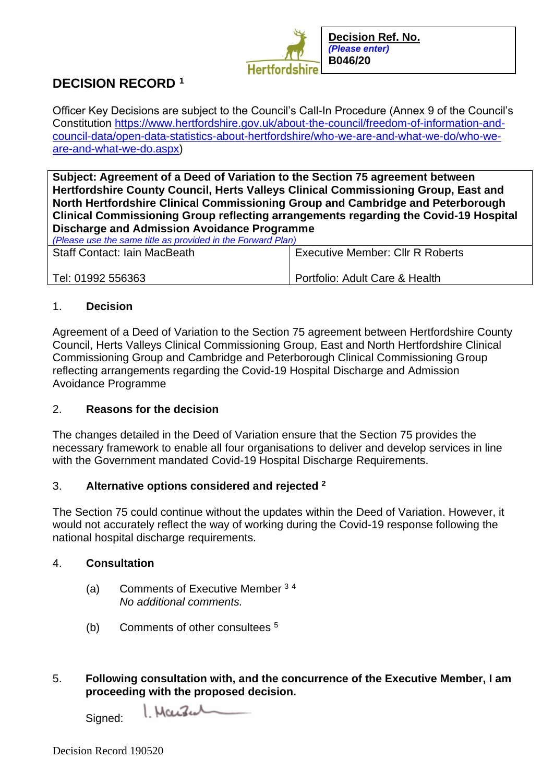

# **DECISION RECORD <sup>1</sup>**

Officer Key Decisions are subject to the Council's Call-In Procedure (Annex 9 of the Council's Constitution [https://www.hertfordshire.gov.uk/about-the-council/freedom-of-information-and](https://www.hertfordshire.gov.uk/about-the-council/freedom-of-information-and-council-data/open-data-statistics-about-hertfordshire/who-we-are-and-what-we-do/who-we-are-and-what-we-do.aspx)[council-data/open-data-statistics-about-hertfordshire/who-we-are-and-what-we-do/who-we](https://www.hertfordshire.gov.uk/about-the-council/freedom-of-information-and-council-data/open-data-statistics-about-hertfordshire/who-we-are-and-what-we-do/who-we-are-and-what-we-do.aspx)[are-and-what-we-do.aspx\)](https://www.hertfordshire.gov.uk/about-the-council/freedom-of-information-and-council-data/open-data-statistics-about-hertfordshire/who-we-are-and-what-we-do/who-we-are-and-what-we-do.aspx)

**Subject: Agreement of a Deed of Variation to the Section 75 agreement between Hertfordshire County Council, Herts Valleys Clinical Commissioning Group, East and North Hertfordshire Clinical Commissioning Group and Cambridge and Peterborough Clinical Commissioning Group reflecting arrangements regarding the Covid-19 Hospital Discharge and Admission Avoidance Programme**

| (Please use the same title as provided in the Forward Plan) |                                         |
|-------------------------------------------------------------|-----------------------------------------|
| <b>Staff Contact: Iain MacBeath</b>                         | <b>Executive Member: Cllr R Roberts</b> |
|                                                             |                                         |
|                                                             |                                         |
| Tel: 01992 556363                                           | Portfolio: Adult Care & Health          |
|                                                             |                                         |

#### 1. **Decision**

Agreement of a Deed of Variation to the Section 75 agreement between Hertfordshire County Council, Herts Valleys Clinical Commissioning Group, East and North Hertfordshire Clinical Commissioning Group and Cambridge and Peterborough Clinical Commissioning Group reflecting arrangements regarding the Covid-19 Hospital Discharge and Admission Avoidance Programme

## 2. **Reasons for the decision**

The changes detailed in the Deed of Variation ensure that the Section 75 provides the necessary framework to enable all four organisations to deliver and develop services in line with the Government mandated Covid-19 Hospital Discharge Requirements.

## 3. **Alternative options considered and rejected <sup>2</sup>**

The Section 75 could continue without the updates within the Deed of Variation. However, it would not accurately reflect the way of working during the Covid-19 response following the national hospital discharge requirements.

#### 4. **Consultation**

- (a) Comments of Executive Member <sup>3</sup> <sup>4</sup> *No additional comments.*
- (b) Comments of other consultees <sup>5</sup>
- 5. **Following consultation with, and the concurrence of the Executive Member, I am proceeding with the proposed decision.**

Warren Signed: